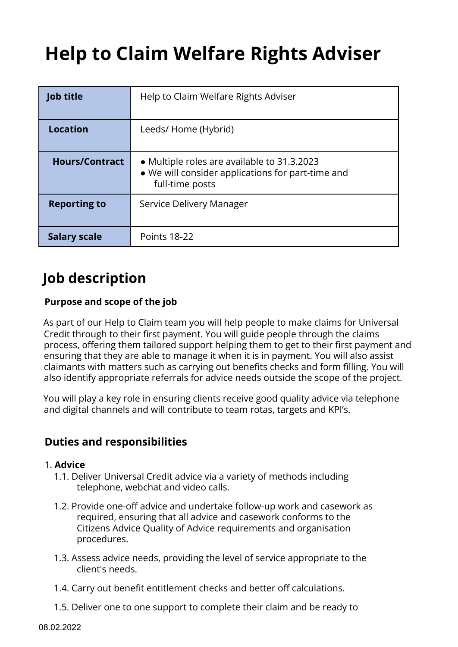# **Help to Claim Welfare Rights Adviser**

| <b>Job title</b>      | Help to Claim Welfare Rights Adviser                                                                                |
|-----------------------|---------------------------------------------------------------------------------------------------------------------|
| <b>Location</b>       | Leeds/ Home (Hybrid)                                                                                                |
| <b>Hours/Contract</b> | • Multiple roles are available to 31.3.2023<br>• We will consider applications for part-time and<br>full-time posts |
| <b>Reporting to</b>   | Service Delivery Manager                                                                                            |
| <b>Salary scale</b>   | <b>Points 18-22</b>                                                                                                 |

## **Job description**

#### **Purpose and scope of the job**

As part of our Help to Claim team you will help people to make claims for Universal Credit through to their first payment. You will guide people through the claims process, offering them tailored support helping them to get to their first payment and ensuring that they are able to manage it when it is in payment. You will also assist claimants with matters such as carrying out benefits checks and form filling. You will also identify appropriate referrals for advice needs outside the scope of the project.

You will play a key role in ensuring clients receive good quality advice via telephone and digital channels and will contribute to team rotas, targets and KPI's.

### **Duties and responsibilities**

#### 1. **Advice**

- 1.1. Deliver Universal Credit advice via a variety of methods including telephone, webchat and video calls.
- 1.2. Provide one-off advice and undertake follow-up work and casework as required, ensuring that all advice and casework conforms to the Citizens Advice Quality of Advice requirements and organisation procedures.
- 1.3. Assess advice needs, providing the level of service appropriate to the client's needs.
- 1.4. Carry out benefit entitlement checks and better off calculations.
- 1.5. Deliver one to one support to complete their claim and be ready to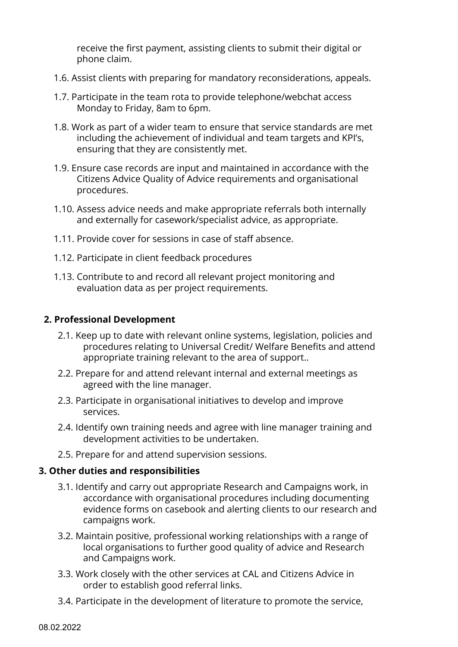receive the first payment, assisting clients to submit their digital or phone claim.

- 1.6. Assist clients with preparing for mandatory reconsiderations, appeals.
- 1.7. Participate in the team rota to provide telephone/webchat access Monday to Friday, 8am to 6pm.
- 1.8. Work as part of a wider team to ensure that service standards are met including the achievement of individual and team targets and KPI's, ensuring that they are consistently met.
- 1.9. Ensure case records are input and maintained in accordance with the Citizens Advice Quality of Advice requirements and organisational procedures.
- 1.10. Assess advice needs and make appropriate referrals both internally and externally for casework/specialist advice, as appropriate.
- 1.11. Provide cover for sessions in case of staff absence.
- 1.12. Participate in client feedback procedures
- 1.13. Contribute to and record all relevant project monitoring and evaluation data as per project requirements.

#### **2. Professional Development**

- 2.1. Keep up to date with relevant online systems, legislation, policies and procedures relating to Universal Credit/ Welfare Benefits and attend appropriate training relevant to the area of support..
- 2.2. Prepare for and attend relevant internal and external meetings as agreed with the line manager.
- 2.3. Participate in organisational initiatives to develop and improve services.
- 2.4. Identify own training needs and agree with line manager training and development activities to be undertaken.
- 2.5. Prepare for and attend supervision sessions.

#### **3. Other duties and responsibilities**

- 3.1. Identify and carry out appropriate Research and Campaigns work, in accordance with organisational procedures including documenting evidence forms on casebook and alerting clients to our research and campaigns work.
- 3.2. Maintain positive, professional working relationships with a range of local organisations to further good quality of advice and Research and Campaigns work.
- 3.3. Work closely with the other services at CAL and Citizens Advice in order to establish good referral links.
- 3.4. Participate in the development of literature to promote the service,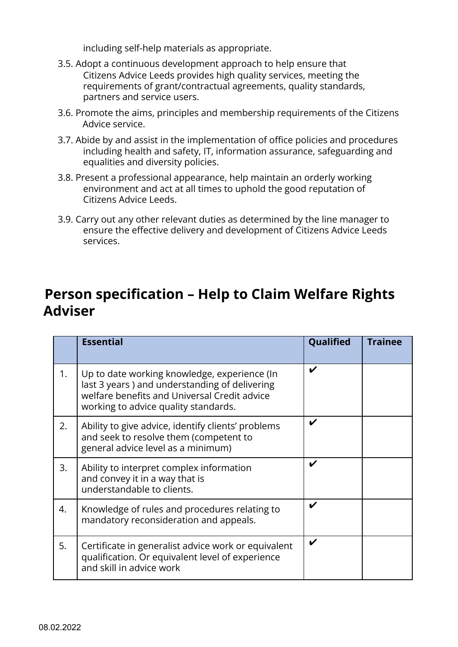including self-help materials as appropriate.

- 3.5. Adopt a continuous development approach to help ensure that Citizens Advice Leeds provides high quality services, meeting the requirements of grant/contractual agreements, quality standards, partners and service users.
- 3.6. Promote the aims, principles and membership requirements of the Citizens Advice service.
- 3.7. Abide by and assist in the implementation of office policies and procedures including health and safety, IT, information assurance, safeguarding and equalities and diversity policies.
- 3.8. Present a professional appearance, help maintain an orderly working environment and act at all times to uphold the good reputation of Citizens Advice Leeds.
- 3.9. Carry out any other relevant duties as determined by the line manager to ensure the effective delivery and development of Citizens Advice Leeds services.

## **Person specification – Help to Claim Welfare Rights Adviser**

|    | <b>Essential</b>                                                                                                                                                                      | Qualified | Trainee |
|----|---------------------------------------------------------------------------------------------------------------------------------------------------------------------------------------|-----------|---------|
| 1. | Up to date working knowledge, experience (In<br>last 3 years) and understanding of delivering<br>welfare benefits and Universal Credit advice<br>working to advice quality standards. | V         |         |
| 2. | Ability to give advice, identify clients' problems<br>and seek to resolve them (competent to<br>general advice level as a minimum)                                                    | V         |         |
| 3. | Ability to interpret complex information<br>and convey it in a way that is<br>understandable to clients.                                                                              |           |         |
| 4. | Knowledge of rules and procedures relating to<br>mandatory reconsideration and appeals.                                                                                               | V         |         |
| 5. | Certificate in generalist advice work or equivalent<br>qualification. Or equivalent level of experience<br>and skill in advice work                                                   | V         |         |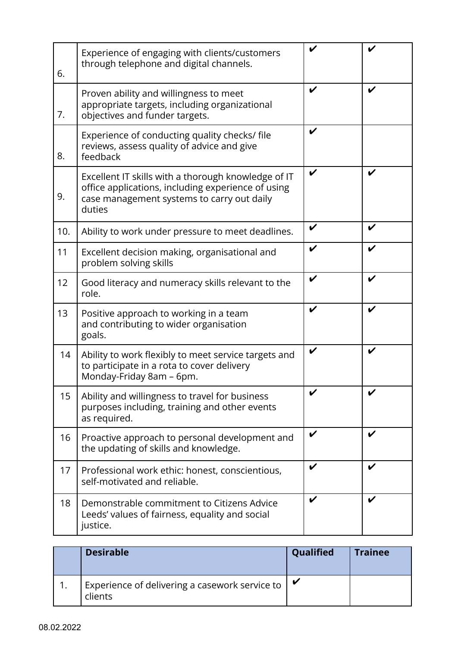| 6.  | Experience of engaging with clients/customers<br>through telephone and digital channels.                                                                          | V |   |
|-----|-------------------------------------------------------------------------------------------------------------------------------------------------------------------|---|---|
| 7.  | Proven ability and willingness to meet<br>appropriate targets, including organizational<br>objectives and funder targets.                                         | V | V |
| 8.  | Experience of conducting quality checks/ file<br>reviews, assess quality of advice and give<br>feedback                                                           | V |   |
| 9.  | Excellent IT skills with a thorough knowledge of IT<br>office applications, including experience of using<br>case management systems to carry out daily<br>duties | V | V |
| 10. | Ability to work under pressure to meet deadlines.                                                                                                                 | V | V |
| 11  | Excellent decision making, organisational and<br>problem solving skills                                                                                           | V |   |
| 12  | Good literacy and numeracy skills relevant to the<br>role.                                                                                                        | V | V |
| 13  | Positive approach to working in a team<br>and contributing to wider organisation<br>goals.                                                                        | V | V |
| 14  | Ability to work flexibly to meet service targets and<br>to participate in a rota to cover delivery<br>Monday-Friday 8am - 6pm.                                    | V | V |
| 15  | Ability and willingness to travel for business<br>purposes including, training and other events<br>as required.                                                   |   |   |
| 16  | Proactive approach to personal development and<br>the updating of skills and knowledge.                                                                           | V |   |
| 17  | Professional work ethic: honest, conscientious,<br>self-motivated and reliable.                                                                                   | V | V |
| 18  | Demonstrable commitment to Citizens Advice<br>Leeds' values of fairness, equality and social<br>justice.                                                          | V | V |

| <b>Desirable</b>                                          | Qualified | <b>Trainee</b> |
|-----------------------------------------------------------|-----------|----------------|
| Experience of delivering a casework service to<br>clients |           |                |